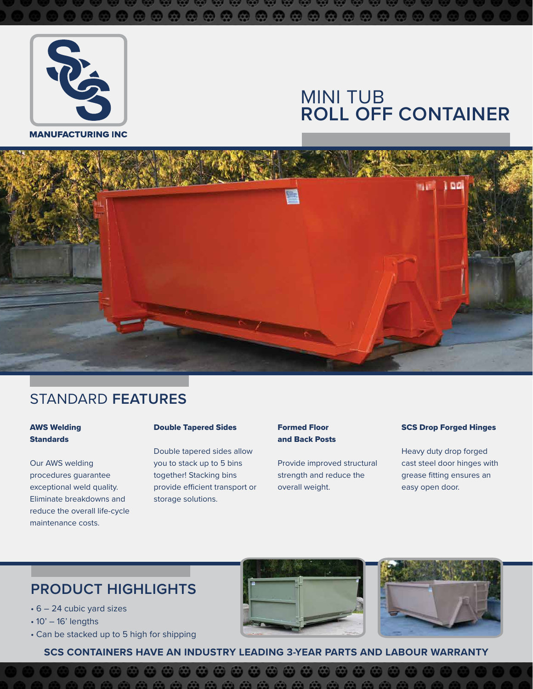

**MANUFACTURING INC** 

# MINI TUB **ROLL OFF CONTAINER**



## STANDARD **FEATURES**

#### AWS Welding **Standards**

Our AWS welding procedures guarantee exceptional weld quality. Eliminate breakdowns and reduce the overall life-cycle maintenance costs.

#### Double Tapered Sides

Double tapered sides allow you to stack up to 5 bins together! Stacking bins provide efficient transport or storage solutions.

#### Formed Floor and Back Posts

Provide improved structural strength and reduce the overall weight.

#### SCS Drop Forged Hinges

Heavy duty drop forged cast steel door hinges with grease fitting ensures an easy open door.

## **PRODUCT HIGHLIGHTS**

- 6 24 cubic yard sizes
- $\cdot$  10' 16' lengths
- Can be stacked up to 5 high for shipping